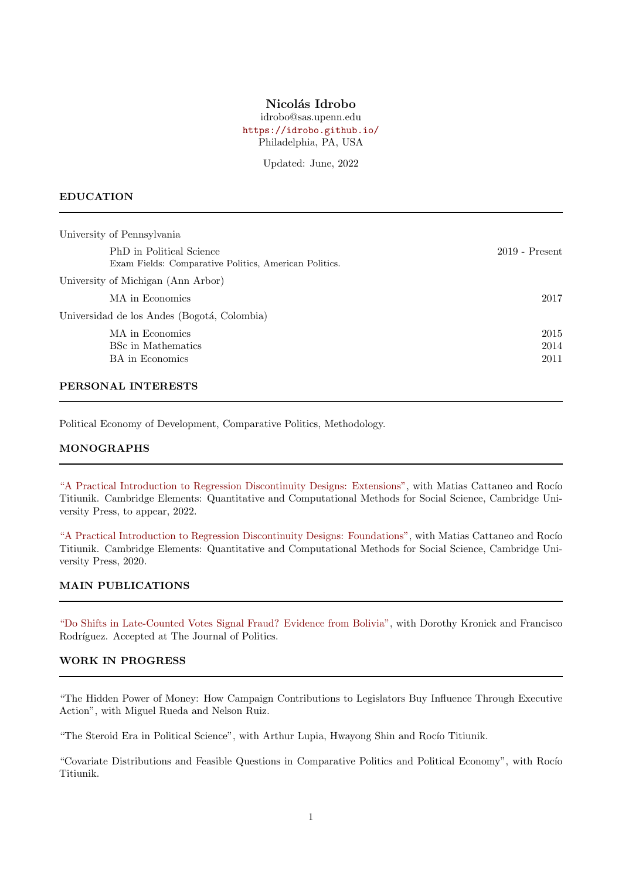## Nicolás Idrobo

idrobo@sas.upenn.edu <https://idrobo.github.io/> Philadelphia, PA, USA

Updated: June, 2022

#### EDUCATION

| University of Pennsylvania                                                        |                  |
|-----------------------------------------------------------------------------------|------------------|
| PhD in Political Science<br>Exam Fields: Comparative Politics, American Politics. | $2019$ - Present |
| University of Michigan (Ann Arbor)                                                |                  |
| MA in Economics                                                                   | 2017             |
| Universidad de los Andes (Bogotá, Colombia)                                       |                  |
| MA in Economics                                                                   | 2015             |
| <b>BSc</b> in Mathematics                                                         | 2014             |
| <b>BA</b> in Economics                                                            | 2011             |
|                                                                                   |                  |

# PERSONAL INTERESTS

Political Economy of Development, Comparative Politics, Methodology.

### MONOGRAPHS

["A Practical Introduction to Regression Discontinuity Designs: Extensions",](https://cattaneo.princeton.edu/books/Cattaneo-Idrobo-Titiunik_2018_CUP-Vol2.pdf) with Matias Cattaneo and Rocío Titiunik. Cambridge Elements: Quantitative and Computational Methods for Social Science, Cambridge University Press, to appear, 2022.

["A Practical Introduction to Regression Discontinuity Designs: Foundations",](https://www.cambridge.org/core/elements/abs/practical-introduction-to-regression-discontinuity-designs/F04907129D5C1B823E3DB19C31CAB905) with Matias Cattaneo and Rocío Titiunik. Cambridge Elements: Quantitative and Computational Methods for Social Science, Cambridge University Press, 2020.

#### MAIN PUBLICATIONS

["Do Shifts in Late-Counted Votes Signal Fraud? Evidence from Bolivia",](https://papers.ssrn.com/sol3/papers.cfm?abstract_id=3621475) with Dorothy Kronick and Francisco Rodríguez. Accepted at The Journal of Politics.

### WORK IN PROGRESS

"The Hidden Power of Money: How Campaign Contributions to Legislators Buy Influence Through Executive Action", with Miguel Rueda and Nelson Ruiz.

"The Steroid Era in Political Science", with Arthur Lupia, Hwayong Shin and Rocío Titiunik.

"Covariate Distributions and Feasible Questions in Comparative Politics and Political Economy", with Rocío Titiunik.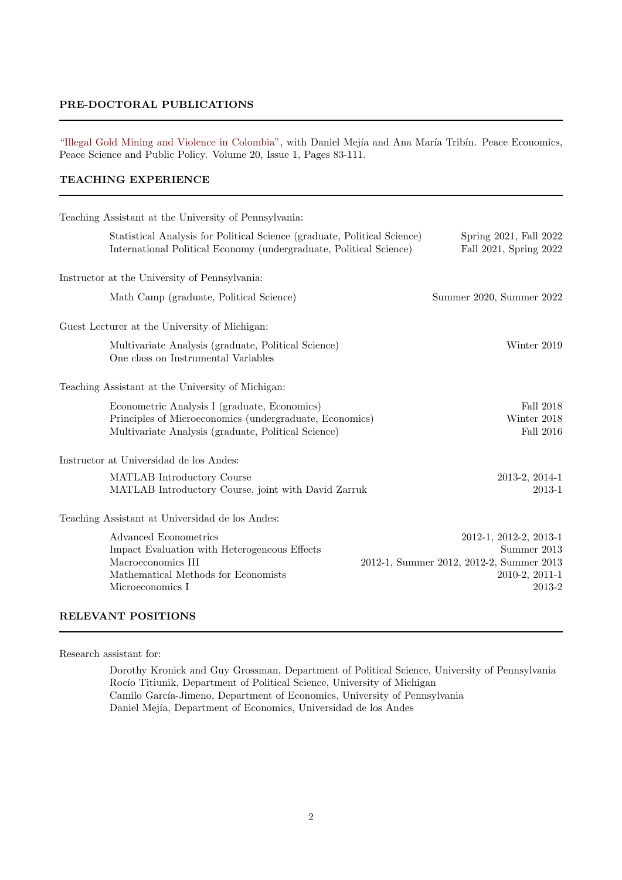### PRE-DOCTORAL PUBLICATIONS

["Illegal Gold Mining and Violence in Colombia",](https://doi.org/10.1515/peps-2013-0053) with Daniel Mejía and Ana María Tribín. Peace Economics, Peace Science and Public Policy. Volume 20, Issue 1, Pages 83-111.

## TEACHING EXPERIENCE

| Teaching Assistant at the University of Pennsylvania:                                                                                                          |                                                                                                               |
|----------------------------------------------------------------------------------------------------------------------------------------------------------------|---------------------------------------------------------------------------------------------------------------|
| Statistical Analysis for Political Science (graduate, Political Science)<br>International Political Economy (undergraduate, Political Science)                 | Spring 2021, Fall 2022<br>Fall 2021, Spring 2022                                                              |
| Instructor at the University of Pennsylvania:                                                                                                                  |                                                                                                               |
| Math Camp (graduate, Political Science)                                                                                                                        | Summer 2020, Summer 2022                                                                                      |
| Guest Lecturer at the University of Michigan:                                                                                                                  |                                                                                                               |
| Multivariate Analysis (graduate, Political Science)<br>One class on Instrumental Variables                                                                     | Winter 2019                                                                                                   |
| Teaching Assistant at the University of Michigan:                                                                                                              |                                                                                                               |
| Econometric Analysis I (graduate, Economics)<br>Principles of Microeconomics (undergraduate, Economics)<br>Multivariate Analysis (graduate, Political Science) | Fall 2018<br>Winter 2018<br>Fall 2016                                                                         |
| Instructor at Universidad de los Andes:                                                                                                                        |                                                                                                               |
| MATLAB Introductory Course<br>MATLAB Introductory Course, joint with David Zarruk                                                                              | 2013-2, 2014-1<br>2013-1                                                                                      |
| Teaching Assistant at Universidad de los Andes:                                                                                                                |                                                                                                               |
| Advanced Econometrics<br>Impact Evaluation with Heterogeneous Effects<br>Macroeconomics III<br>Mathematical Methods for Economists<br>Microeconomics I         | 2012-1, 2012-2, 2013-1<br>Summer 2013<br>2012-1, Summer 2012, 2012-2, Summer 2013<br>2010-2, 2011-1<br>2013-2 |

# RELEVANT POSITIONS

Research assistant for:

Dorothy Kronick and Guy Grossman, Department of Political Science, University of Pennsylvania Rocío Titiunik, Department of Political Science, University of Michigan Camilo García-Jimeno, Department of Economics, University of Pennsylvania Daniel Mejía, Department of Economics, Universidad de los Andes